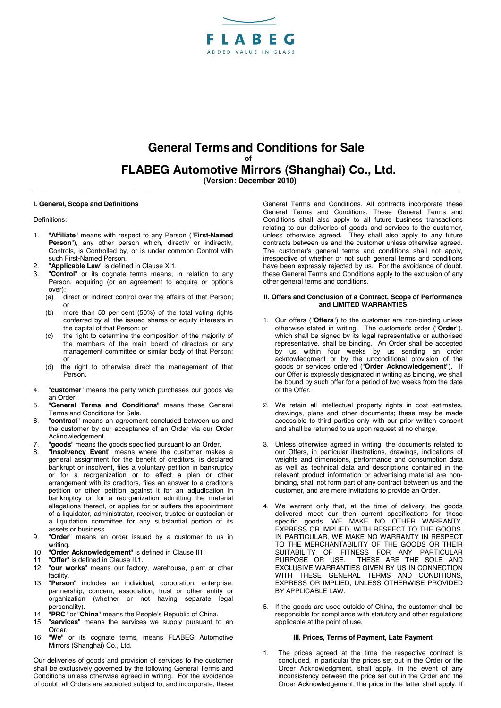

# **General Terms and Conditions for Sale of FLABEG Automotive Mirrors (Shanghai) Co., Ltd.**<br>(Version: December 2010)

**\_\_\_\_\_\_\_\_\_\_\_\_\_\_\_\_\_\_\_\_\_\_\_\_\_\_\_\_\_\_\_\_\_\_\_\_\_\_\_\_\_\_\_\_\_\_\_\_\_\_\_\_\_\_\_\_\_\_\_\_\_\_\_\_\_\_\_\_\_\_\_\_\_\_\_\_\_\_\_\_\_\_\_\_\_\_\_\_\_\_\_\_\_\_\_\_\_\_\_\_\_\_\_\_\_\_\_\_\_\_\_\_\_\_** 

#### **I. General, Scope and Definitions**

Definitions:

- 1. "**Affiliate**" means with respect to any Person ("**First-Named Person**"), any other person which, directly or indirectly, Controls, is Controlled by, or is under common Control with such First-Named Person.
- 2. "**Applicable Law**" is defined in Clause XI1.
- 3. "**Control**" or its cognate terms means, in relation to any Person, acquiring (or an agreement to acquire or options over):<br>(a) c
	- direct or indirect control over the affairs of that Person; or
	- (b) more than 50 per cent (50%) of the total voting rights conferred by all the issued shares or equity interests in the capital of that Person; or
	- (c) the right to determine the composition of the majority of the members of the main board of directors or any management committee or similar body of that Person; or
	- (d) the right to otherwise direct the management of that Person.
- 4. "**customer**" means the party which purchases our goods via an Order.
- 5. "**General Terms and Conditions**" means these General Terms and Conditions for Sale.
- 6. "**contract**" means an agreement concluded between us and the customer by our acceptance of an Order via our Order Acknowledgement.
- 7. "**goods**" means the goods specified pursuant to an Order.
- 8. "**Insolvency Event**" means where the customer makes a general assignment for the benefit of creditors, is declared bankrupt or insolvent, files a voluntary petition in bankruptcy or for a reorganization or to effect a plan or other arrangement with its creditors, files an answer to a creditor's petition or other petition against it for an adjudication in bankruptcy or for a reorganization admitting the material allegations thereof, or applies for or suffers the appointment of a liquidator, administrator, receiver, trustee or custodian or a liquidation committee for any substantial portion of its assets or business.
- 9. "**Order**" means an order issued by a customer to us in writing.
- 10. "**Order Acknowledgement**" is defined in Clause II1.
- 11. "**Offer**" is defined in Clause II.1.
- 12. "**our works**" means our factory, warehouse, plant or other facility.
- 13. "**Person**" includes an individual, corporation, enterprise, partnership, concern, association, trust or other entity or organization (whether or not having separate legal personality).
- 14. "**PRC**" or "**China**" means the People's Republic of China.
- 15. "**services**" means the services we supply pursuant to an Order.
- 16. "**We**" or its cognate terms, means FLABEG Automotive Mirrors (Shanghai) Co., Ltd.

Our deliveries of goods and provision of services to the customer shall be exclusively governed by the following General Terms and Conditions unless otherwise agreed in writing. For the avoidance of doubt, all Orders are accepted subject to, and incorporate, these

General Terms and Conditions. All contracts incorporate these General Terms and Conditions. These General Terms and Conditions shall also apply to all future business transactions relating to our deliveries of goods and services to the customer, unless otherwise agreed. They shall also apply to any future contracts between us and the customer unless otherwise agreed. The customer's general terms and conditions shall not apply. irrespective of whether or not such general terms and conditions have been expressly rejected by us. For the avoidance of doubt, these General Terms and Conditions apply to the exclusion of any other general terms and conditions.

#### **II. Offers and Conclusion of a Contract, Scope of Performance and LIMITED WARRANTIES**

- 1. Our offers ("**Offers**") to the customer are non-binding unless otherwise stated in writing. The customer's order ("**Order**"), which shall be signed by its legal representative or authorised representative, shall be binding. An Order shall be accepted by us within four weeks by us sending an order acknowledgment or by the unconditional provision of the goods or services ordered ("**Order Acknowledgement**"). If our Offer is expressly designated in writing as binding, we shall be bound by such offer for a period of two weeks from the date of the Offer.
- 2. We retain all intellectual property rights in cost estimates, drawings, plans and other documents; these may be made accessible to third parties only with our prior written consent and shall be returned to us upon request at no charge.
- 3. Unless otherwise agreed in writing, the documents related to our Offers, in particular illustrations, drawings, indications of weights and dimensions, performance and consumption data as well as technical data and descriptions contained in the relevant product information or advertising material are nonbinding, shall not form part of any contract between us and the customer, and are mere invitations to provide an Order.
- 4. We warrant only that, at the time of delivery, the goods delivered meet our then current specifications for those specific goods. WE MAKE NO OTHER WARRANTY, EXPRESS OR IMPLIED, WITH RESPECT TO THE GOODS. IN PARTICULAR, WE MAKE NO WARRANTY IN RESPECT TO THE MERCHANTABILITY OF THE GOODS OR THEIR SUITABILITY OF FITNESS FOR ANY PARTICULAR PURPOSE OR USE. THESE ARE THE SOLE AND EXCLUSIVE WARRANTIES GIVEN BY US IN CONNECTION WITH THESE GENERAL TERMS AND CONDITIONS, EXPRESS OR IMPLIED, UNLESS OTHERWISE PROVIDED BY APPLICABLE LAW.
- 5. If the goods are used outside of China, the customer shall be responsible for compliance with statutory and other regulations applicable at the point of use.

## **III. Prices, Terms of Payment, Late Payment**

1. The prices agreed at the time the respective contract is concluded, in particular the prices set out in the Order or the Order Acknowledgment, shall apply. In the event of any inconsistency between the price set out in the Order and the Order Acknowledgement, the price in the latter shall apply. If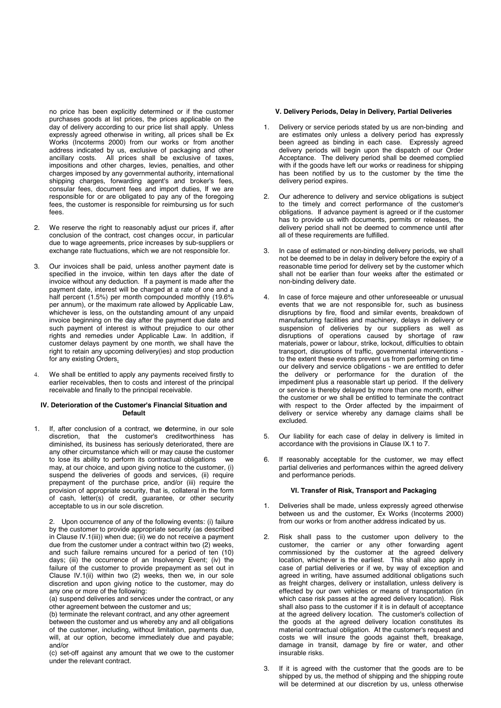no price has been explicitly determined or if the customer purchases goods at list prices, the prices applicable on the day of delivery according to our price list shall apply. Unless expressly agreed otherwise in writing, all prices shall be Ex Works (Incoterms 2000) from our works or from another address indicated by us, exclusive of packaging and other ancillary costs. All prices shall be exclusive of taxes, impositions and other charges, levies, penalties, and other charges imposed by any governmental authority, international shipping charges, forwarding agent's and broker's fees, consular fees, document fees and import duties, If we are responsible for or are obligated to pay any of the foregoing fees, the customer is responsible for reimbursing us for such fees.

- 2. We reserve the right to reasonably adjust our prices if, after conclusion of the contract, cost changes occur, in particular due to wage agreements, price increases by sub-suppliers or exchange rate fluctuations, which we are not responsible for.
- 3. Our invoices shall be paid, unless another payment date is specified in the invoice, within ten days after the date of invoice without any deduction. If a payment is made after the payment date, interest will be charged at a rate of one and a half percent (1.5%) per month compounded monthly (19.6% per annum), or the maximum rate allowed by Applicable Law, whichever is less, on the outstanding amount of any unpaid invoice beginning on the day after the payment due date and such payment of interest is without prejudice to our other rights and remedies under Applicable Law. In addition, if customer delays payment by one month, we shall have the right to retain any upcoming delivery(ies) and stop production for any existing Orders.
- 4. We shall be entitled to apply any payments received firstly to earlier receivables, then to costs and interest of the principal receivable and finally to the principal receivable.

#### **IV. Deterioration of the Customer's Financial Situation and Default**

1. If, after conclusion of a contract, we **d**etermine, in our sole discretion, that the customer's creditworthiness has diminished, its business has seriously deteriorated, there are any other circumstance which will or may cause the customer to lose its ability to perform its contractual obligations we may, at our choice, and upon giving notice to the customer, (i) suspend the deliveries of goods and services. (ii) require prepayment of the purchase price, and/or (iii) require the provision of appropriate security, that is, collateral in the form of cash, letter(s) of credit, guarantee, or other security acceptable to us in our sole discretion.

2. Upon occurrence of any of the following events: (i) failure by the customer to provide appropriate security (as described in Clause IV.1(iii)) when due; (ii) we do not receive a payment due from the customer under a contract within two (2) weeks, and such failure remains uncured for a period of ten  $(10)$ days; (iii) the occurrence of an Insolvency Event; (iv) the failure of the customer to provide prepayment as set out in Clause IV.1(ii) within two (2) weeks, then we, in our sole discretion and upon giving notice to the customer, may do any one or more of the following:

(a) suspend deliveries and services under the contract, or any other agreement between the customer and us;

(b) terminate the relevant contract, and any other agreement between the customer and us whereby any and all obligations of the customer, including, without limitation, payments due, will, at our option, become immediately due and payable; and/or

(c) set-off against any amount that we owe to the customer under the relevant contract.

## **V. Delivery Periods, Delay in Delivery, Partial Deliveries**

- 1. Delivery or service periods stated by us are non-binding and are estimates only unless a delivery period has expressly been agreed as binding in each case. Expressly agreed delivery periods will begin upon the dispatch of our Order Acceptance. The delivery period shall be deemed complied with if the goods have left our works or readiness for shipping has been notified by us to the customer by the time the delivery period expires.
- 2. Our adherence to delivery and service obligations is subject to the timely and correct performance of the customer's obligations. If advance payment is agreed or if the customer has to provide us with documents, permits or releases, the delivery period shall not be deemed to commence until after all of these requirements are fulfilled.
- 3. In case of estimated or non-binding delivery periods, we shall not be deemed to be in delay in delivery before the expiry of a reasonable time period for delivery set by the customer which shall not be earlier than four weeks after the estimated or non-binding delivery date.
- 4. In case of force majeure and other unforeseeable or unusual events that we are not responsible for, such as business disruptions by fire, flood and similar events, breakdown of manufacturing facilities and machinery, delays in delivery or suspension of deliveries by our suppliers as well as disruptions of operations caused by shortage of raw materials, power or labour, strike, lockout, difficulties to obtain transport, disruptions of traffic, governmental interventions to the extent these events prevent us from performing on time our delivery and service obligations - we are entitled to defer the delivery or performance for the duration of the impediment plus a reasonable start up period. If the delivery or service is thereby delayed by more than one month, either the customer or we shall be entitled to terminate the contract with respect to the Order affected by the impairment of delivery or service whereby any damage claims shall be excluded.
- 5. Our liability for each case of delay in delivery is limited in accordance with the provisions in Clause IX.1 to 7.
- 6. If reasonably acceptable for the customer, we may effect partial deliveries and performances within the agreed delivery and performance periods.

# **VI. Transfer of Risk, Transport and Packaging**

- 1. Deliveries shall be made, unless expressly agreed otherwise between us and the customer, Ex Works (Incoterms 2000) from our works or from another address indicated by us.
- 2. Risk shall pass to the customer upon delivery to the customer, the carrier or any other forwarding agent commissioned by the customer at the agreed delivery location, whichever is the earliest. This shall also apply in case of partial deliveries or if we, by way of exception and agreed in writing, have assumed additional obligations such as freight charges, delivery or installation, unless delivery is effected by our own vehicles or means of transportation (in which case risk passes at the agreed delivery location). Risk shall also pass to the customer if it is in default of acceptance at the agreed delivery location. The customer's collection of the goods at the agreed delivery location constitutes its material contractual obligation. At the customer's request and costs we will insure the goods against theft, breakage, damage in transit, damage by fire or water, and other insurable risks.
- 3. If it is agreed with the customer that the goods are to be shipped by us, the method of shipping and the shipping route will be determined at our discretion by us, unless otherwise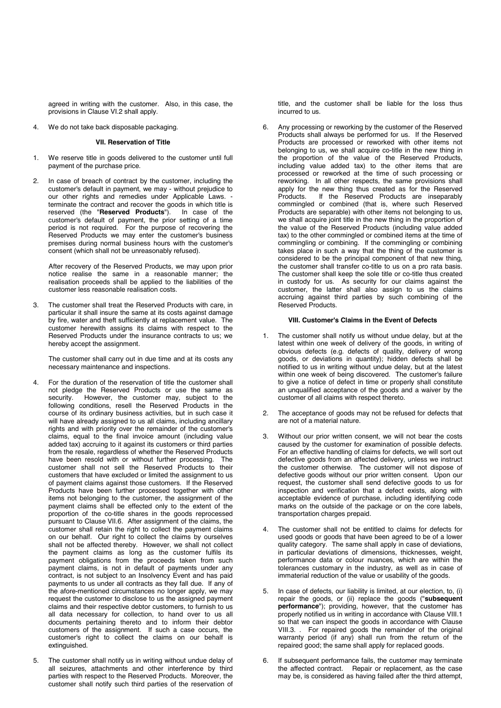agreed in writing with the customer. Also, in this case, the provisions in Clause VI.2 shall apply.

4. We do not take back disposable packaging.

## **VII. Reservation of Title**

- We reserve title in goods delivered to the customer until full payment of the purchase price.
- 2. In case of breach of contract by the customer, including the customer's default in payment, we may - without prejudice to our other rights and remedies under Applicable Laws. terminate the contract and recover the goods in which title is reserved (the "**Reserved Products**"). In case of the customer's default of payment, the prior setting of a time period is not required. For the purpose of recovering the Reserved Products we may enter the customer's business premises during normal business hours with the customer's consent (which shall not be unreasonably refused).

After recovery of the Reserved Products, we may upon prior notice realise the same in a reasonable manner; the realisation proceeds shall be applied to the liabilities of the customer less reasonable realisation costs.

3. The customer shall treat the Reserved Products with care, in particular it shall insure the same at its costs against damage by fire, water and theft sufficiently at replacement value. The customer herewith assigns its claims with respect to the Reserved Products under the insurance contracts to us; we hereby accept the assignment.

The customer shall carry out in due time and at its costs any necessary maintenance and inspections.

- 4. For the duration of the reservation of title the customer shall not pledge the Reserved Products or use the same as security. However, the customer may, subject to the following conditions, resell the Reserved Products in the course of its ordinary business activities, but in such case it will have already assigned to us all claims, including ancillary rights and with priority over the remainder of the customer's claims, equal to the final invoice amount (including value added tax) accruing to it against its customers or third parties from the resale, regardless of whether the Reserved Products have been resold with or without further processing. The customer shall not sell the Reserved Products to their customers that have excluded or limited the assignment to us of payment claims against those customers. If the Reserved Products have been further processed together with other items not belonging to the customer, the assignment of the payment claims shall be effected only to the extent of the proportion of the co-title shares in the goods reprocessed pursuant to Clause VII.6. After assignment of the claims, the customer shall retain the right to collect the payment claims on our behalf. Our right to collect the claims by ourselves shall not be affected thereby. However, we shall not collect the payment claims as long as the customer fulfils its payment obligations from the proceeds taken from such payment claims, is not in default of payments under any contract, is not subject to an Insolvency Event and has paid payments to us under all contracts as they fall due. If any of the afore-mentioned circumstances no longer apply, we may request the customer to disclose to us the assigned payment claims and their respective debtor customers, to furnish to us all data necessary for collection, to hand over to us all documents pertaining thereto and to inform their debtor customers of the assignment. If such a case occurs, the customer's right to collect the claims on our behalf is extinguished.
- 5. The customer shall notify us in writing without undue delay of all seizures, attachments and other interference by third parties with respect to the Reserved Products. Moreover, the customer shall notify such third parties of the reservation of

title, and the customer shall be liable for the loss thus incurred to us.

6. Any processing or reworking by the customer of the Reserved Products shall always be performed for us. If the Reserved Products are processed or reworked with other items not belonging to us, we shall acquire co-title in the new thing in the proportion of the value of the Reserved Products, including value added tax) to the other items that are processed or reworked at the time of such processing or reworking. In all other respects, the same provisions shall apply for the new thing thus created as for the Reserved<br>Products. If the Reserved Products are inseparably If the Reserved Products are inseparably commingled or combined (that is, where such Reserved Products are separable) with other items not belonging to us, we shall acquire joint title in the new thing in the proportion of the value of the Reserved Products (including value added tax) to the other commingled or combined items at the time of commingling or combining. If the commingling or combining takes place in such a way that the thing of the customer is considered to be the principal component of that new thing, the customer shall transfer co-title to us on a pro rata basis. The customer shall keep the sole title or co-title thus created in custody for us. As security for our claims against the customer, the latter shall also assign to us the claims accruing against third parties by such combining of the Reserved Products.

#### **VIII. Customer's Claims in the Event of Defects**

- 1. The customer shall notify us without undue delay, but at the latest within one week of delivery of the goods, in writing of obvious defects (e.g. defects of quality, delivery of wrong goods, or deviations in quantity); hidden defects shall be notified to us in writing without undue delay, but at the latest within one week of being discovered. The customer's failure to give a notice of defect in time or properly shall constitute an unqualified acceptance of the goods and a waiver by the customer of all claims with respect thereto.
- The acceptance of goods may not be refused for defects that are not of a material nature.
- 3. Without our prior written consent, we will not bear the costs caused by the customer for examination of possible defects. For an effective handling of claims for defects, we will sort out defective goods from an affected delivery, unless we instruct the customer otherwise. The customer will not dispose of defective goods without our prior written consent. Upon our request, the customer shall send defective goods to us for inspection and verification that a defect exists, along with acceptable evidence of purchase, including identifying code marks on the outside of the package or on the core labels, transportation charges prepaid.
- 4. The customer shall not be entitled to claims for defects for used goods or goods that have been agreed to be of a lower quality category. The same shall apply in case of deviations, in particular deviations of dimensions, thicknesses, weight, performance data or colour nuances, which are within the tolerances customary in the industry, as well as in case of immaterial reduction of the value or usability of the goods.
- 5. In case of defects, our liability is limited, at our election, to, (i) repair the goods, or (ii) replace the goods ("**subsequent performance**"); providing, however, that the customer has properly notified us in writing in accordance with Clause VIII.1 so that we can inspect the goods in accordance with Clause VIII.3. . For repaired goods the remainder of the original warranty period (if any) shall run from the return of the repaired good; the same shall apply for replaced goods.
- If subsequent performance fails, the customer may terminate the affected contract. Repair or replacement, as the case may be, is considered as having failed after the third attempt,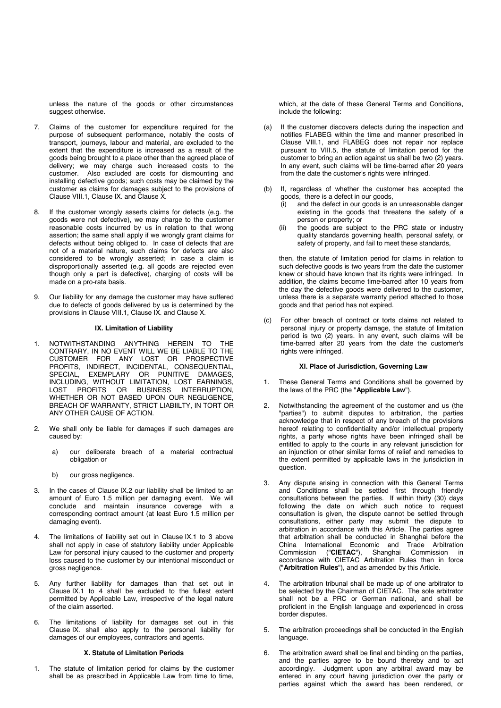unless the nature of the goods or other circumstances suggest otherwise.

- 7. Claims of the customer for expenditure required for the purpose of subsequent performance, notably the costs of transport, journeys, labour and material, are excluded to the extent that the expenditure is increased as a result of the goods being brought to a place other than the agreed place of delivery; we may charge such increased costs to the customer. Also excluded are costs for dismounting and installing defective goods; such costs may be claimed by the customer as claims for damages subject to the provisions of Clause VIII.1, Clause IX. and Clause X.
- 8. If the customer wrongly asserts claims for defects (e.g. the goods were not defective), we may charge to the customer reasonable costs incurred by us in relation to that wrong assertion; the same shall apply if we wrongly grant claims for defects without being obliged to. In case of defects that are not of a material nature, such claims for defects are also considered to be wrongly asserted; in case a claim is disproportionally asserted (e.g. all goods are rejected even though only a part is defective), charging of costs will be made on a pro-rata basis.
- 9. Our liability for any damage the customer may have suffered due to defects of goods delivered by us is determined by the provisions in Clause VIII.1, Clause IX. and Clause X.

# **IX. Limitation of Liability**

- 1. NOTWITHSTANDING ANYTHING HEREIN TO THE CONTRARY, IN NO EVENT WILL WE BE LIABLE TO THE CUSTOMER FOR ANY LOST OR PROSPECTIVE PROFITS, INDIRECT, INCIDENTAL, CONSEQUENTIAL, SPECIAL, EXEMPLARY OR PUNITIVE DAMAGES, INCLUDING, WITHOUT LIMITATION, LOST EARNINGS, LOST PROFITS OR BUSINESS INTERRUPTION, WHETHER OR NOT BASED UPON OUR NEGLIGENCE, BREACH OF WARRANTY, STRICT LIABIILTY, IN TORT OR ANY OTHER CAUSE OF ACTION.
- 2. We shall only be liable for damages if such damages are caused by:
	- a) our deliberate breach of a material contractual obligation or
	- b) our gross negligence.
- 3. In the cases of Clause IX.2 our liability shall be limited to an amount of Euro 1.5 million per damaging event. We will conclude and maintain insurance coverage with a corresponding contract amount (at least Euro 1.5 million per damaging event).
- 4. The limitations of liability set out in Clause IX.1 to 3 above shall not apply in case of statutory liability under Applicable Law for personal injury caused to the customer and property loss caused to the customer by our intentional misconduct or gross negligence.
- 5. Any further liability for damages than that set out in Clause IX.1 to 4 shall be excluded to the fullest extent permitted by Applicable Law, irrespective of the legal nature of the claim asserted.
- 6. The limitations of liability for damages set out in this Clause IX. shall also apply to the personal liability for damages of our employees, contractors and agents.

#### **X. Statute of Limitation Periods**

1. The statute of limitation period for claims by the customer shall be as prescribed in Applicable Law from time to time,

which, at the date of these General Terms and Conditions, include the following:

- (a) If the customer discovers defects during the inspection and notifies FLABEG within the time and manner prescribed in Clause VIII.1, and FLABEG does not repair nor replace pursuant to VIII.5, the statute of limitation period for the customer to bring an action against us shall be two (2) years. In any event, such claims will be time-barred after 20 years from the date the customer's rights were infringed.
- (b) If, regardless of whether the customer has accepted the goods, there is a defect in our goods,<br>(i) and the defect in our goods is a
	- and the defect in our goods is an unreasonable danger existing in the goods that threatens the safety of a person or property; or
	- (ii) the goods are subject to the PRC state or industry quality standards governing health, personal safety, or safety of property, and fail to meet these standards,

then, the statute of limitation period for claims in relation to such defective goods is two years from the date the customer knew or should have known that its rights were infringed. In addition, the claims become time-barred after 10 years from the day the defective goods were delivered to the customer, unless there is a separate warranty period attached to those goods and that period has not expired.

(c) For other breach of contract or torts claims not related to personal injury or property damage, the statute of limitation period is two (2) years. In any event, such claims will be time-barred after 20 years from the date the customer's rights were infringed.

#### **XI. Place of Jurisdiction, Governing Law**

- These General Terms and Conditions shall be governed by the laws of the PRC (the "**Applicable Law**").
- 2. Notwithstanding the agreement of the customer and us (the "parties") to submit disputes to arbitration, the parties acknowledge that in respect of any breach of the provisions hereof relating to confidentiality and/or intellectual property rights, a party whose rights have been infringed shall be entitled to apply to the courts in any relevant jurisdiction for an injunction or other similar forms of relief and remedies to the extent permitted by applicable laws in the jurisdiction in question.
- 3. Any dispute arising in connection with this General Terms and Conditions shall be settled first through friendly consultations between the parties. If within thirty (30) days following the date on which such notice to request consultation is given, the dispute cannot be settled through consultations, either party may submit the dispute to arbitration in accordance with this Article. The parties agree that arbitration shall be conducted in Shanghai before the China International Economic and Trade Arbitration<br>Commission ("CIETAC"), Shanghai Commission in Commission ("**CIETAC**"), Shanghai Commission in accordance with CIETAC Arbitration Rules then in force ("**Arbitration Rules**"), and as amended by this Article.
- 4. The arbitration tribunal shall be made up of one arbitrator to be selected by the Chairman of CIETAC. The sole arbitrator shall not be a PRC or German national, and shall be proficient in the English language and experienced in cross border disputes.
- 5. The arbitration proceedings shall be conducted in the English language.
- 6. The arbitration award shall be final and binding on the parties, and the parties agree to be bound thereby and to act accordingly. Judgment upon any arbitral award may be entered in any court having jurisdiction over the party or parties against which the award has been rendered, or